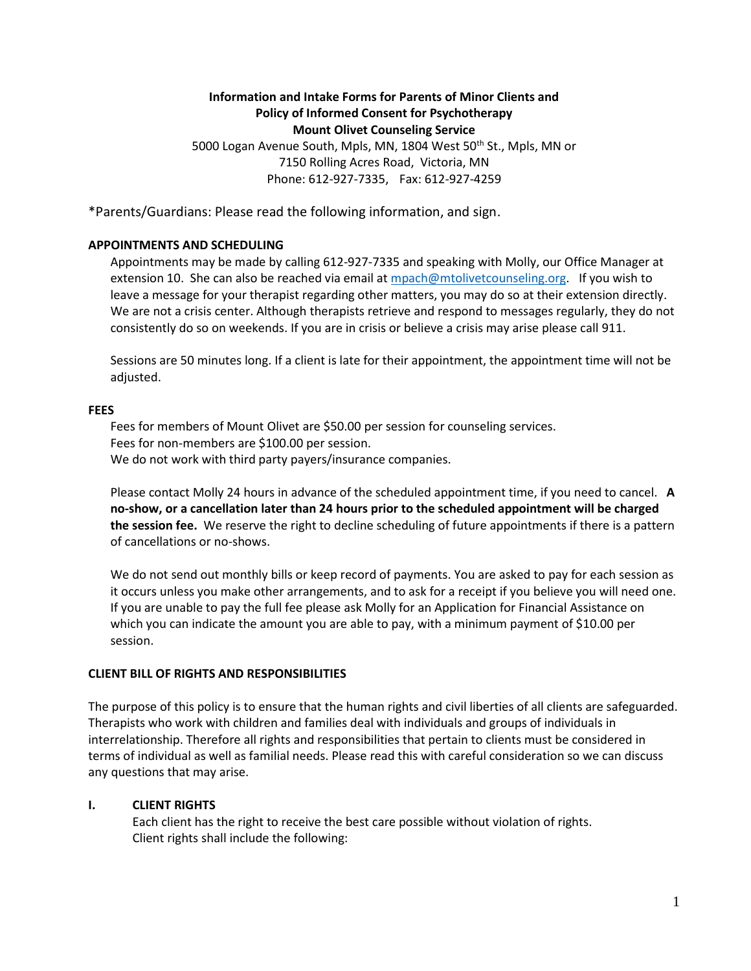## **Information and Intake Forms for Parents of Minor Clients and Policy of Informed Consent for Psychotherapy Mount Olivet Counseling Service**

5000 Logan Avenue South, Mpls, MN, 1804 West 50<sup>th</sup> St., Mpls, MN or 7150 Rolling Acres Road, Victoria, MN Phone: 612-927-7335, Fax: 612-927-4259

\*Parents/Guardians: Please read the following information, and sign.

## **APPOINTMENTS AND SCHEDULING**

Appointments may be made by calling 612-927-7335 and speaking with Molly, our Office Manager at extension 10. She can also be reached via email a[t mpach@mtolivetcounseling.org.](mailto:mpach@mtolivetcounseling.org) If you wish to leave a message for your therapist regarding other matters, you may do so at their extension directly. We are not a crisis center. Although therapists retrieve and respond to messages regularly, they do not consistently do so on weekends. If you are in crisis or believe a crisis may arise please call 911.

Sessions are 50 minutes long. If a client is late for their appointment, the appointment time will not be adjusted.

### **FEES**

Fees for members of Mount Olivet are \$50.00 per session for counseling services. Fees for non-members are \$100.00 per session. We do not work with third party payers/insurance companies.

Please contact Molly 24 hours in advance of the scheduled appointment time, if you need to cancel. **A no-show, or a cancellation later than 24 hours prior to the scheduled appointment will be charged the session fee.** We reserve the right to decline scheduling of future appointments if there is a pattern of cancellations or no-shows.

We do not send out monthly bills or keep record of payments. You are asked to pay for each session as it occurs unless you make other arrangements, and to ask for a receipt if you believe you will need one. If you are unable to pay the full fee please ask Molly for an Application for Financial Assistance on which you can indicate the amount you are able to pay, with a minimum payment of \$10.00 per session.

### **CLIENT BILL OF RIGHTS AND RESPONSIBILITIES**

The purpose of this policy is to ensure that the human rights and civil liberties of all clients are safeguarded. Therapists who work with children and families deal with individuals and groups of individuals in interrelationship. Therefore all rights and responsibilities that pertain to clients must be considered in terms of individual as well as familial needs. Please read this with careful consideration so we can discuss any questions that may arise.

### **I. CLIENT RIGHTS**

Each client has the right to receive the best care possible without violation of rights. Client rights shall include the following: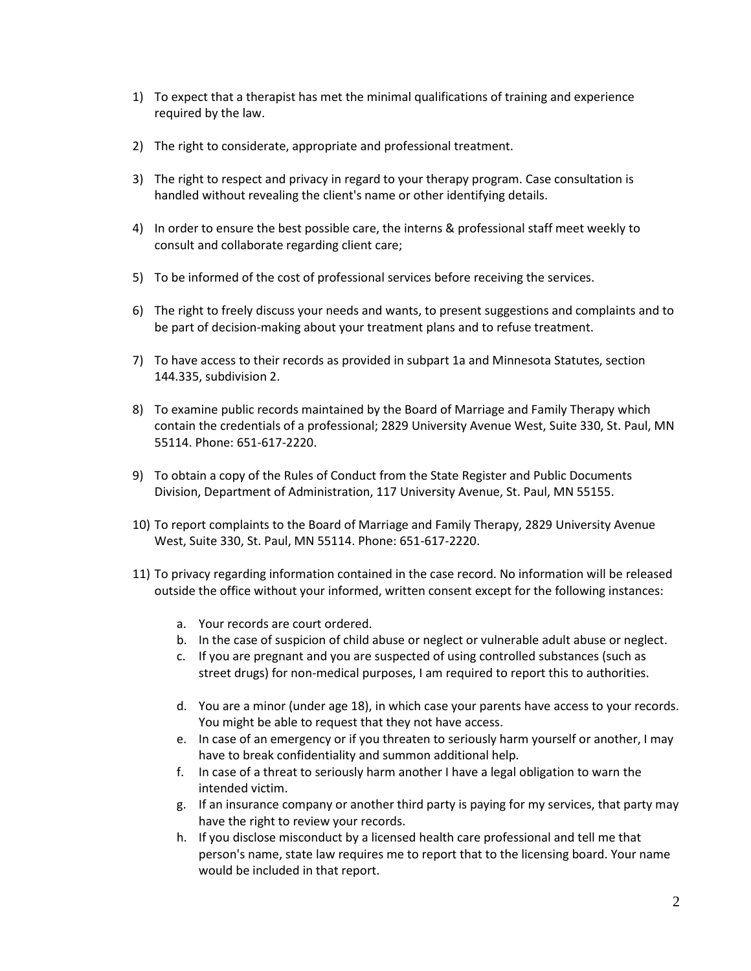- 1) To expect that a therapist has met the minimal qualifications of training and experience required by the law.
- 2) The right to considerate, appropriate and professional treatment.
- 3) The right to respect and privacy in regard to your therapy program. Case consultation is handled without revealing the client's name or other identifying details.
- 4) In order to ensure the best possible care, the interns & professional staff meet weekly to consult and collaborate regarding client care;
- 5) To be informed of the cost of professional services before receiving the services.
- 6) The right to freely discuss your needs and wants, to present suggestions and complaints and to be part of decision-making about your treatment plans and to refuse treatment.
- 7) To have access to their records as provided in subpart 1a and Minnesota Statutes, section 144.335, subdivision 2.
- 8) To examine public records maintained by the Board of Marriage and Family Therapy which contain the credentials of a professional; 2829 University Avenue West, Suite 330, St. Paul, MN 55114. Phone: 651-617-2220.
- 9) To obtain a copy of the Rules of Conduct from the State Register and Public Documents Division, Department of Administration, 117 University Avenue, St. Paul, MN 55155.
- 10) To report complaints to the Board of Marriage and Family Therapy, 2829 University Avenue West, Suite 330, St. Paul, MN 55114. Phone: 651-617-2220.
- 11) To privacy regarding information contained in the case record. No information will be released outside the office without your informed, written consent except for the following instances:
	- a. Your records are court ordered.
	- b. In the case of suspicion of child abuse or neglect or vulnerable adult abuse or neglect.
	- c. If you are pregnant and you are suspected of using controlled substances (such as street drugs) for non-medical purposes, I am required to report this to authorities.
	- d. You are a minor (under age 18), in which case your parents have access to your records. You might be able to request that they not have access.
	- e. In case of an emergency or if you threaten to seriously harm yourself or another, I may have to break confidentiality and summon additional help.
	- f. In case of a threat to seriously harm another I have a legal obligation to warn the intended victim.
	- g. If an insurance company or another third party is paying for my services, that party may have the right to review your records.
	- h. If you disclose misconduct by a licensed health care professional and tell me that person's name, state law requires me to report that to the licensing board. Your name would be included in that report.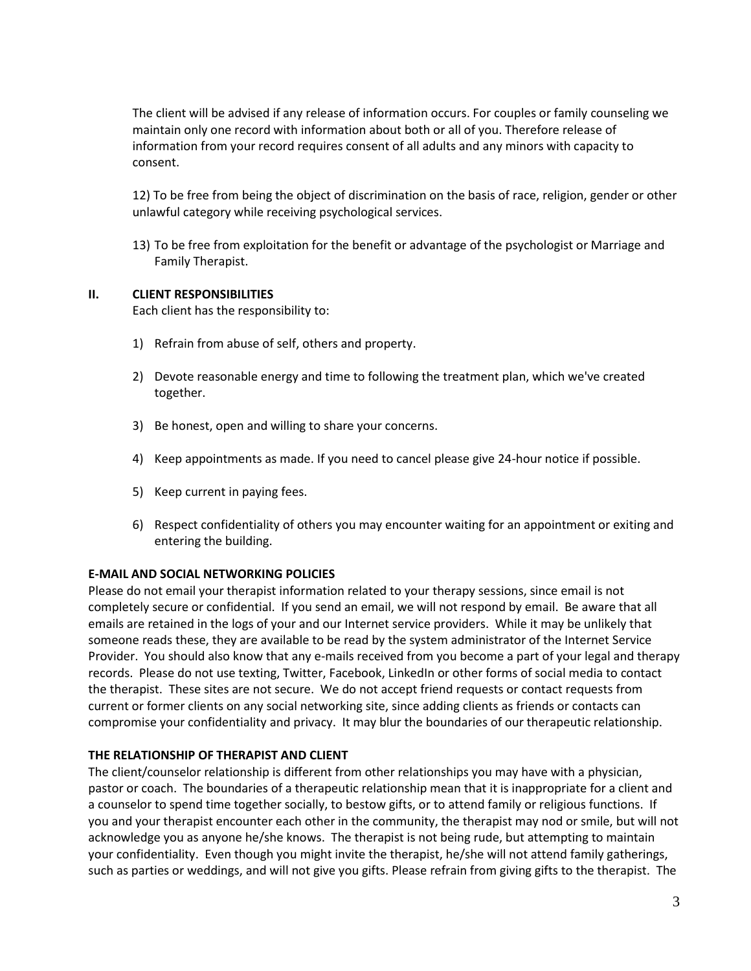The client will be advised if any release of information occurs. For couples or family counseling we maintain only one record with information about both or all of you. Therefore release of information from your record requires consent of all adults and any minors with capacity to consent.

12) To be free from being the object of discrimination on the basis of race, religion, gender or other unlawful category while receiving psychological services.

13) To be free from exploitation for the benefit or advantage of the psychologist or Marriage and Family Therapist.

### **II. CLIENT RESPONSIBILITIES**

Each client has the responsibility to:

- 1) Refrain from abuse of self, others and property.
- 2) Devote reasonable energy and time to following the treatment plan, which we've created together.
- 3) Be honest, open and willing to share your concerns.
- 4) Keep appointments as made. If you need to cancel please give 24-hour notice if possible.
- 5) Keep current in paying fees.
- 6) Respect confidentiality of others you may encounter waiting for an appointment or exiting and entering the building.

## **E-MAIL AND SOCIAL NETWORKING POLICIES**

Please do not email your therapist information related to your therapy sessions, since email is not completely secure or confidential. If you send an email, we will not respond by email. Be aware that all emails are retained in the logs of your and our Internet service providers. While it may be unlikely that someone reads these, they are available to be read by the system administrator of the Internet Service Provider. You should also know that any e-mails received from you become a part of your legal and therapy records. Please do not use texting, Twitter, Facebook, LinkedIn or other forms of social media to contact the therapist. These sites are not secure. We do not accept friend requests or contact requests from current or former clients on any social networking site, since adding clients as friends or contacts can compromise your confidentiality and privacy. It may blur the boundaries of our therapeutic relationship.

### **THE RELATIONSHIP OF THERAPIST AND CLIENT**

The client/counselor relationship is different from other relationships you may have with a physician, pastor or coach. The boundaries of a therapeutic relationship mean that it is inappropriate for a client and a counselor to spend time together socially, to bestow gifts, or to attend family or religious functions. If you and your therapist encounter each other in the community, the therapist may nod or smile, but will not acknowledge you as anyone he/she knows. The therapist is not being rude, but attempting to maintain your confidentiality. Even though you might invite the therapist, he/she will not attend family gatherings, such as parties or weddings, and will not give you gifts. Please refrain from giving gifts to the therapist. The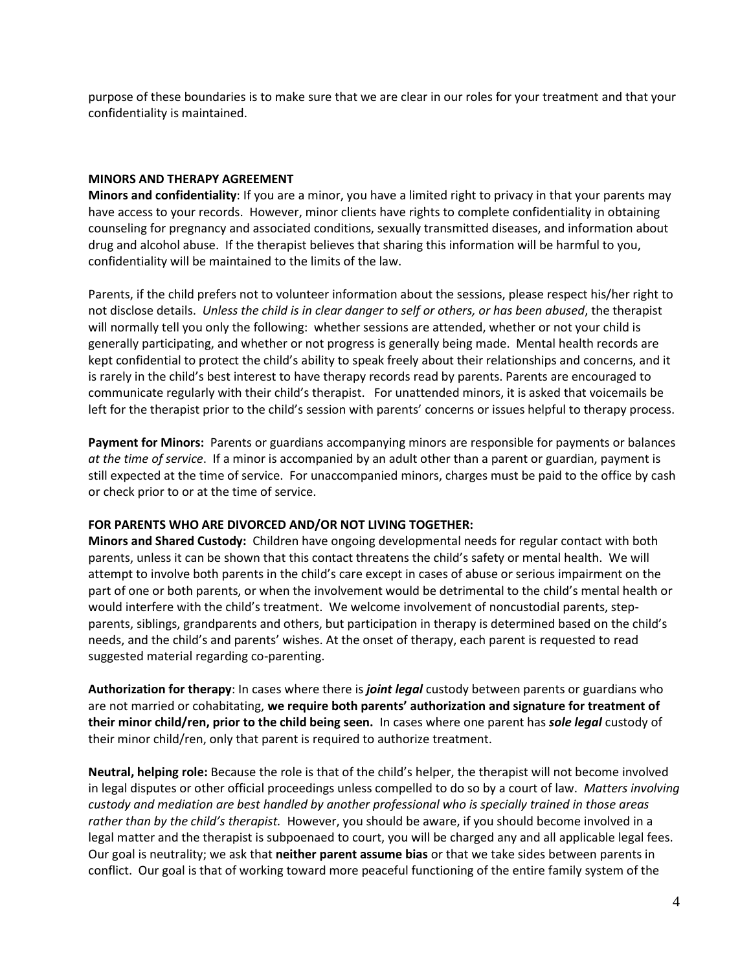purpose of these boundaries is to make sure that we are clear in our roles for your treatment and that your confidentiality is maintained.

#### **MINORS AND THERAPY AGREEMENT**

**Minors and confidentiality**: If you are a minor, you have a limited right to privacy in that your parents may have access to your records. However, minor clients have rights to complete confidentiality in obtaining counseling for pregnancy and associated conditions, sexually transmitted diseases, and information about drug and alcohol abuse. If the therapist believes that sharing this information will be harmful to you, confidentiality will be maintained to the limits of the law.

Parents, if the child prefers not to volunteer information about the sessions, please respect his/her right to not disclose details. *Unless the child is in clear danger to self or others, or has been abused*, the therapist will normally tell you only the following: whether sessions are attended, whether or not your child is generally participating, and whether or not progress is generally being made. Mental health records are kept confidential to protect the child's ability to speak freely about their relationships and concerns, and it is rarely in the child's best interest to have therapy records read by parents. Parents are encouraged to communicate regularly with their child's therapist. For unattended minors, it is asked that voicemails be left for the therapist prior to the child's session with parents' concerns or issues helpful to therapy process.

**Payment for Minors:** Parents or guardians accompanying minors are responsible for payments or balances *at the time of service*. If a minor is accompanied by an adult other than a parent or guardian, payment is still expected at the time of service. For unaccompanied minors, charges must be paid to the office by cash or check prior to or at the time of service.

#### **FOR PARENTS WHO ARE DIVORCED AND/OR NOT LIVING TOGETHER:**

**Minors and Shared Custody:** Children have ongoing developmental needs for regular contact with both parents, unless it can be shown that this contact threatens the child's safety or mental health. We will attempt to involve both parents in the child's care except in cases of abuse or serious impairment on the part of one or both parents, or when the involvement would be detrimental to the child's mental health or would interfere with the child's treatment. We welcome involvement of noncustodial parents, stepparents, siblings, grandparents and others, but participation in therapy is determined based on the child's needs, and the child's and parents' wishes. At the onset of therapy, each parent is requested to read suggested material regarding co-parenting.

**Authorization for therapy**: In cases where there is *joint legal* custody between parents or guardians who are not married or cohabitating, **we require both parents' authorization and signature for treatment of their minor child/ren, prior to the child being seen.** In cases where one parent has *sole legal* custody of their minor child/ren, only that parent is required to authorize treatment.

**Neutral, helping role:** Because the role is that of the child's helper, the therapist will not become involved in legal disputes or other official proceedings unless compelled to do so by a court of law. *Matters involving custody and mediation are best handled by another professional who is specially trained in those areas rather than by the child's therapist.* However, you should be aware, if you should become involved in a legal matter and the therapist is subpoenaed to court, you will be charged any and all applicable legal fees. Our goal is neutrality; we ask that **neither parent assume bias** or that we take sides between parents in conflict. Our goal is that of working toward more peaceful functioning of the entire family system of the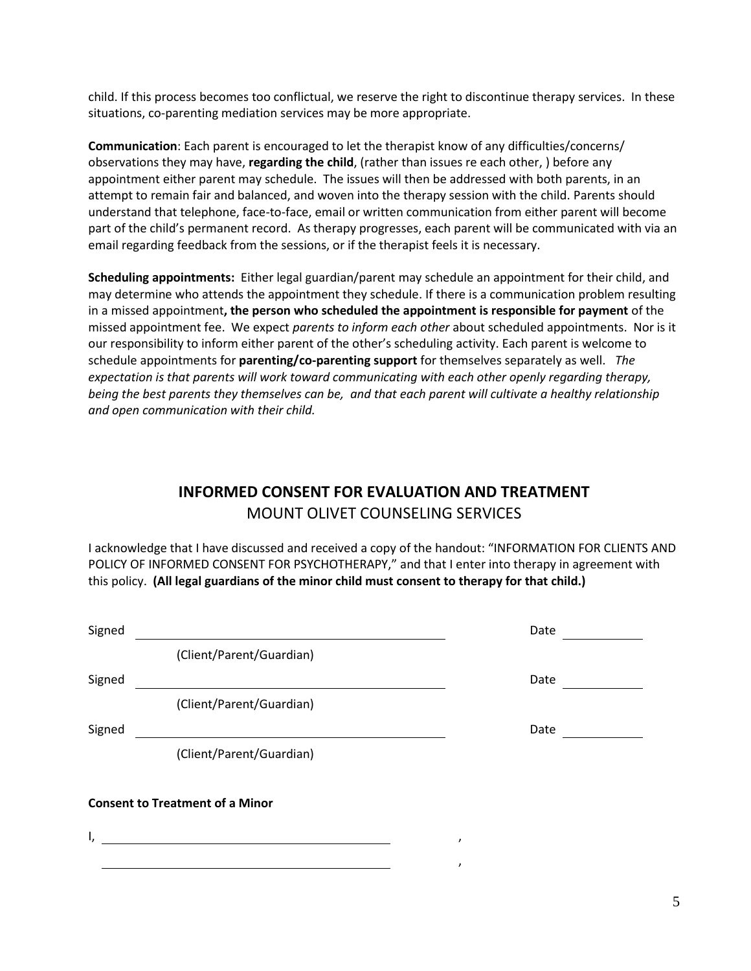child. If this process becomes too conflictual, we reserve the right to discontinue therapy services. In these situations, co-parenting mediation services may be more appropriate.

**Communication**: Each parent is encouraged to let the therapist know of any difficulties/concerns/ observations they may have, **regarding the child**, (rather than issues re each other, ) before any appointment either parent may schedule. The issues will then be addressed with both parents, in an attempt to remain fair and balanced, and woven into the therapy session with the child. Parents should understand that telephone, face-to-face, email or written communication from either parent will become part of the child's permanent record. As therapy progresses, each parent will be communicated with via an email regarding feedback from the sessions, or if the therapist feels it is necessary.

**Scheduling appointments:** Either legal guardian/parent may schedule an appointment for their child, and may determine who attends the appointment they schedule. If there is a communication problem resulting in a missed appointment**, the person who scheduled the appointment is responsible for payment** of the missed appointment fee. We expect *parents to inform each other* about scheduled appointments. Nor is it our responsibility to inform either parent of the other's scheduling activity. Each parent is welcome to schedule appointments for **parenting/co-parenting support** for themselves separately as well. *The expectation is that parents will work toward communicating with each other openly regarding therapy, being the best parents they themselves can be, and that each parent will cultivate a healthy relationship and open communication with their child.* 

# **INFORMED CONSENT FOR EVALUATION AND TREATMENT** MOUNT OLIVET COUNSELING SERVICES

I acknowledge that I have discussed and received a copy of the handout: "INFORMATION FOR CLIENTS AND POLICY OF INFORMED CONSENT FOR PSYCHOTHERAPY," and that I enter into therapy in agreement with this policy. **(All legal guardians of the minor child must consent to therapy for that child.)**

| Signed |                                        | Date |
|--------|----------------------------------------|------|
|        | (Client/Parent/Guardian)               |      |
| Signed |                                        | Date |
|        | (Client/Parent/Guardian)               |      |
| Signed |                                        | Date |
|        | (Client/Parent/Guardian)               |      |
|        | <b>Consent to Treatment of a Minor</b> |      |
| ١,     |                                        |      |
|        |                                        | ,    |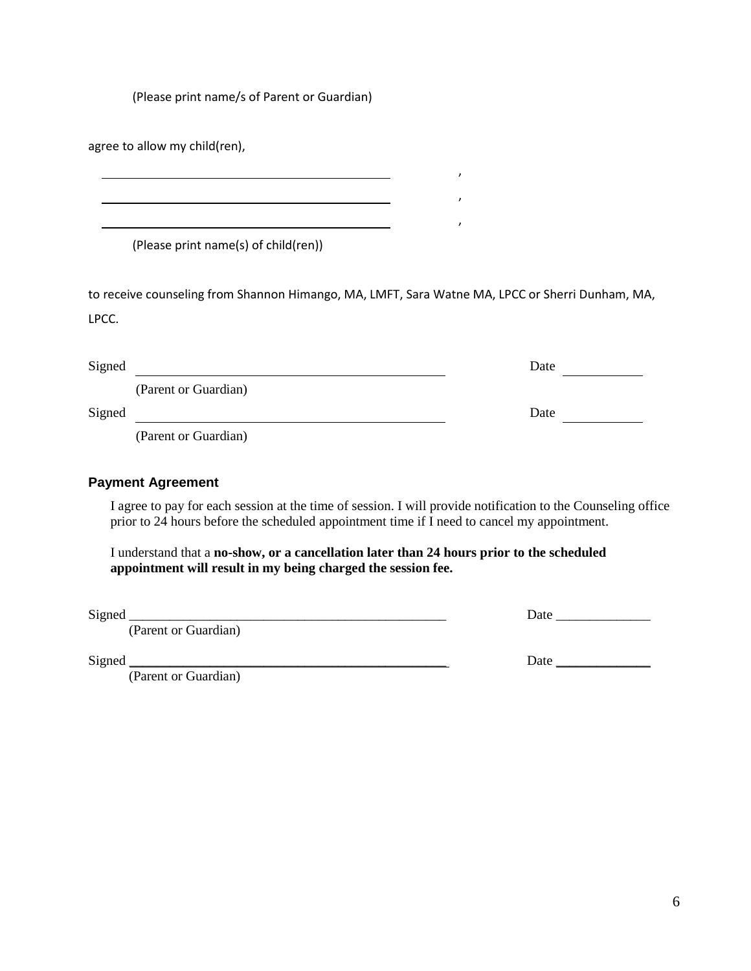(Please print name/s of Parent or Guardian)

<u> 1989 - Johann Barbara, martxa alemaniar arg</u>

agree to allow my child(ren),

(Please print name(s) of child(ren))

to receive counseling from Shannon Himango, MA, LMFT, Sara Watne MA, LPCC or Sherri Dunham, MA, LPCC.

, where  $\mathcal{L}$ 

, where  $\mathcal{L}$ 

, where  $\mathcal{L}$ 

| Signed |                      | Date |
|--------|----------------------|------|
|        | (Parent or Guardian) |      |
| Signed |                      | Date |
|        | (Parent or Guardian) |      |

#### **Payment Agreement**

I agree to pay for each session at the time of session. I will provide notification to the Counseling office prior to 24 hours before the scheduled appointment time if I need to cancel my appointment.

I understand that a **no-show, or a cancellation later than 24 hours prior to the scheduled appointment will result in my being charged the session fee.**

(Parent or Guardian)

 $Signed$   $\Box$ 

(Parent or Guardian)

| $\sim$<br>S <sub>1</sub> gned | Jate |
|-------------------------------|------|
|                               |      |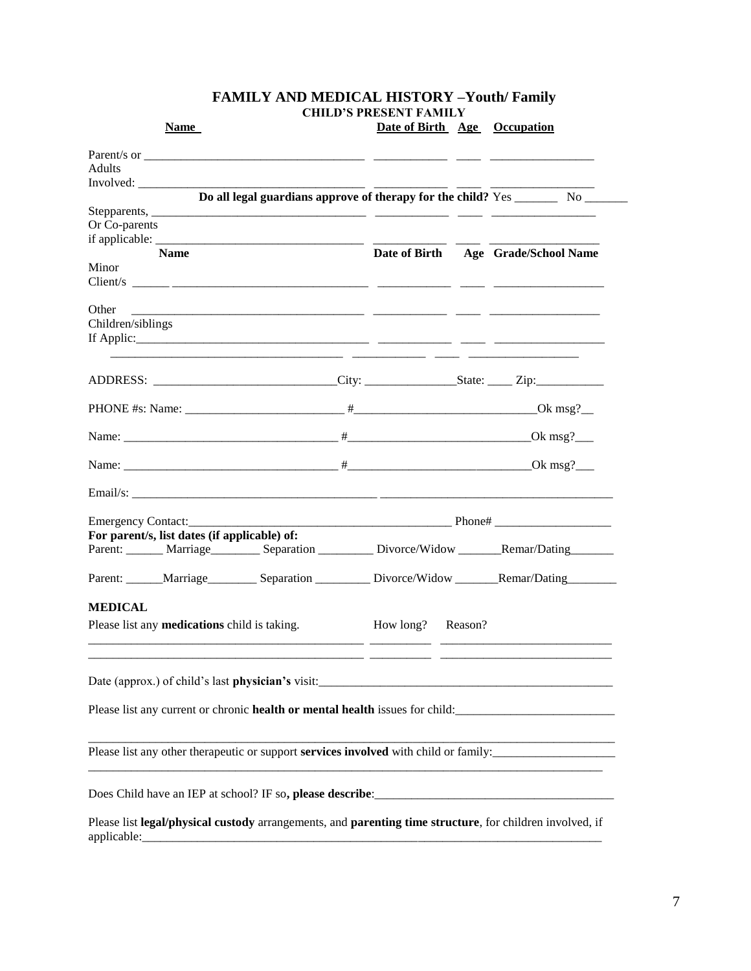| <b>Name</b>                                                                                                                                                                                                                    | Date of Birth Age Occupation |                                     |
|--------------------------------------------------------------------------------------------------------------------------------------------------------------------------------------------------------------------------------|------------------------------|-------------------------------------|
| Parent/s or $\frac{1}{\sqrt{1-\frac{1}{2}}}\sqrt{1-\frac{1}{2}}$                                                                                                                                                               |                              |                                     |
| <b>Adults</b>                                                                                                                                                                                                                  |                              |                                     |
| Involved:                                                                                                                                                                                                                      |                              |                                     |
| Do all legal guardians approve of therapy for the child? Yes __________ No _____                                                                                                                                               |                              |                                     |
|                                                                                                                                                                                                                                |                              |                                     |
| Or Co-parents                                                                                                                                                                                                                  |                              |                                     |
|                                                                                                                                                                                                                                |                              |                                     |
| <b>Name</b>                                                                                                                                                                                                                    |                              | Date of Birth Age Grade/School Name |
| Minor                                                                                                                                                                                                                          |                              |                                     |
|                                                                                                                                                                                                                                |                              |                                     |
|                                                                                                                                                                                                                                |                              |                                     |
| Other                                                                                                                                                                                                                          |                              |                                     |
| Children/siblings                                                                                                                                                                                                              |                              |                                     |
|                                                                                                                                                                                                                                |                              |                                     |
|                                                                                                                                                                                                                                |                              |                                     |
|                                                                                                                                                                                                                                |                              |                                     |
|                                                                                                                                                                                                                                |                              |                                     |
|                                                                                                                                                                                                                                |                              |                                     |
|                                                                                                                                                                                                                                |                              |                                     |
|                                                                                                                                                                                                                                |                              |                                     |
|                                                                                                                                                                                                                                |                              |                                     |
|                                                                                                                                                                                                                                |                              |                                     |
|                                                                                                                                                                                                                                |                              |                                     |
| Emergency Contact: Phone Phone Phone Phone Phone Phone Phone Phone Phone Phone Phone Phone Phone Phone Phone Phone Phone Phone Phone Phone Phone Phone Phone Phone Phone Phone Phone Phone Phone Phone Phone Phone Phone Phone |                              |                                     |
| For parent/s, list dates (if applicable) of:                                                                                                                                                                                   |                              |                                     |
| Parent: ______ Marriage________ Separation ________ Divorce/Widow _______ Remar/Dating______                                                                                                                                   |                              |                                     |
|                                                                                                                                                                                                                                |                              |                                     |
| Parent: ______Marriage_________________________________Divorce/Widow _________Remar/Dating__________                                                                                                                           |                              |                                     |
|                                                                                                                                                                                                                                |                              |                                     |
| <b>MEDICAL</b>                                                                                                                                                                                                                 |                              |                                     |
| Please list any <b>medications</b> child is taking.                                                                                                                                                                            | How long? Reason?            |                                     |
|                                                                                                                                                                                                                                |                              |                                     |
|                                                                                                                                                                                                                                |                              |                                     |
|                                                                                                                                                                                                                                |                              |                                     |
| Date (approx.) of child's last physician's visit:                                                                                                                                                                              |                              |                                     |
| Please list any current or chronic <b>health or mental health</b> issues for child:                                                                                                                                            |                              |                                     |
|                                                                                                                                                                                                                                |                              |                                     |
|                                                                                                                                                                                                                                |                              |                                     |
| Please list any other therapeutic or support services involved with child or family:                                                                                                                                           |                              |                                     |
|                                                                                                                                                                                                                                |                              |                                     |
|                                                                                                                                                                                                                                |                              |                                     |
|                                                                                                                                                                                                                                |                              |                                     |
|                                                                                                                                                                                                                                |                              |                                     |
| Please list legal/physical custody arrangements, and parenting time structure, for children involved, if                                                                                                                       |                              |                                     |

#### **FAMILY AND MEDICAL HISTORY –Youth/ Family CHILD'S PRESENT FAMILY**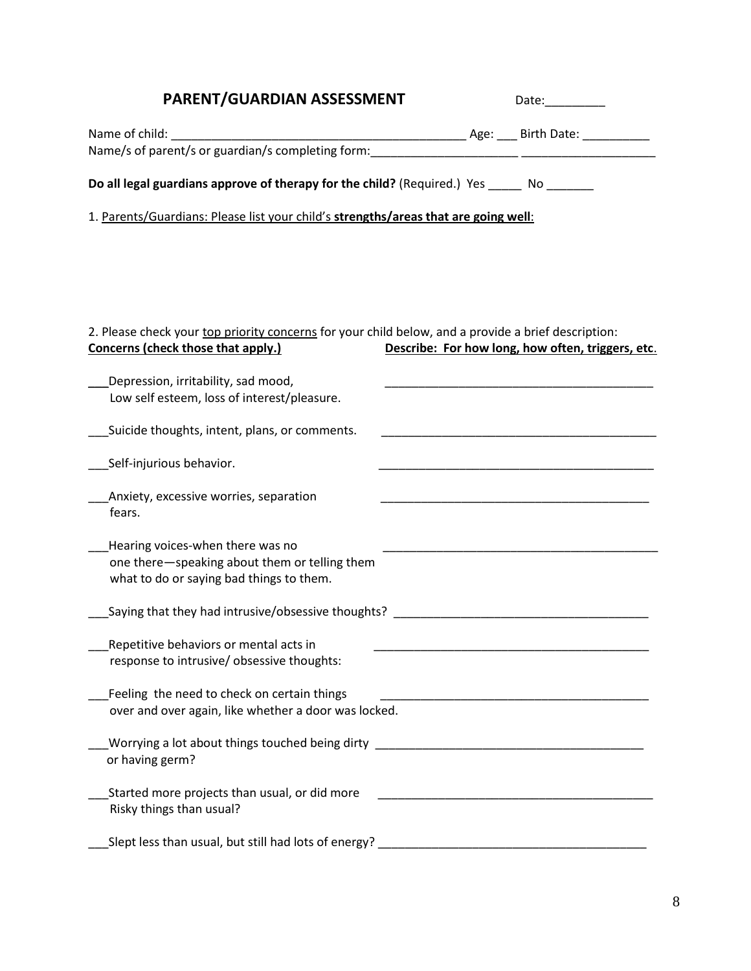| PARENT/GUARDIAN ASSESSMENT                                                                                                                | Date: and the part of the part of the part of the part of the part of the part of the part of the part of the p |  |
|-------------------------------------------------------------------------------------------------------------------------------------------|-----------------------------------------------------------------------------------------------------------------|--|
|                                                                                                                                           |                                                                                                                 |  |
| Name/s of parent/s or guardian/s completing form: _______________________________                                                         |                                                                                                                 |  |
| Do all legal guardians approve of therapy for the child? (Required.) Yes _____ No ______                                                  |                                                                                                                 |  |
| 1. Parents/Guardians: Please list your child's strengths/areas that are going well:                                                       |                                                                                                                 |  |
|                                                                                                                                           |                                                                                                                 |  |
|                                                                                                                                           |                                                                                                                 |  |
|                                                                                                                                           |                                                                                                                 |  |
| 2. Please check your top priority concerns for your child below, and a provide a brief description:<br>Concerns (check those that apply.) | Describe: For how long, how often, triggers, etc.                                                               |  |
| Depression, irritability, sad mood,                                                                                                       | <u> 1989 - Johann Barn, fransk politik (d. 1989)</u>                                                            |  |
| Low self esteem, loss of interest/pleasure.                                                                                               |                                                                                                                 |  |
| Suicide thoughts, intent, plans, or comments.                                                                                             | <u> 1990 - Johann John Stone, mars eta biztanleria (</u>                                                        |  |
| Self-injurious behavior.                                                                                                                  |                                                                                                                 |  |
| Anxiety, excessive worries, separation                                                                                                    | <u> 1990 - Johann John Stein, markin am Francisco (f. 1980)</u>                                                 |  |
| fears.                                                                                                                                    |                                                                                                                 |  |
| Hearing voices-when there was no                                                                                                          |                                                                                                                 |  |
| one there-speaking about them or telling them<br>what to do or saying bad things to them.                                                 |                                                                                                                 |  |
| Saying that they had intrusive/obsessive thoughts?                                                                                        |                                                                                                                 |  |
| Repetitive behaviors or mental acts in                                                                                                    |                                                                                                                 |  |
| response to intrusive/ obsessive thoughts:                                                                                                |                                                                                                                 |  |
| Feeling the need to check on certain things                                                                                               |                                                                                                                 |  |
| over and over again, like whether a door was locked.                                                                                      |                                                                                                                 |  |
| Worrying a lot about things touched being dirty ________________________________<br>or having germ?                                       |                                                                                                                 |  |
| Started more projects than usual, or did more<br>Risky things than usual?                                                                 |                                                                                                                 |  |
| Slept less than usual, but still had lots of energy? ___________________________                                                          |                                                                                                                 |  |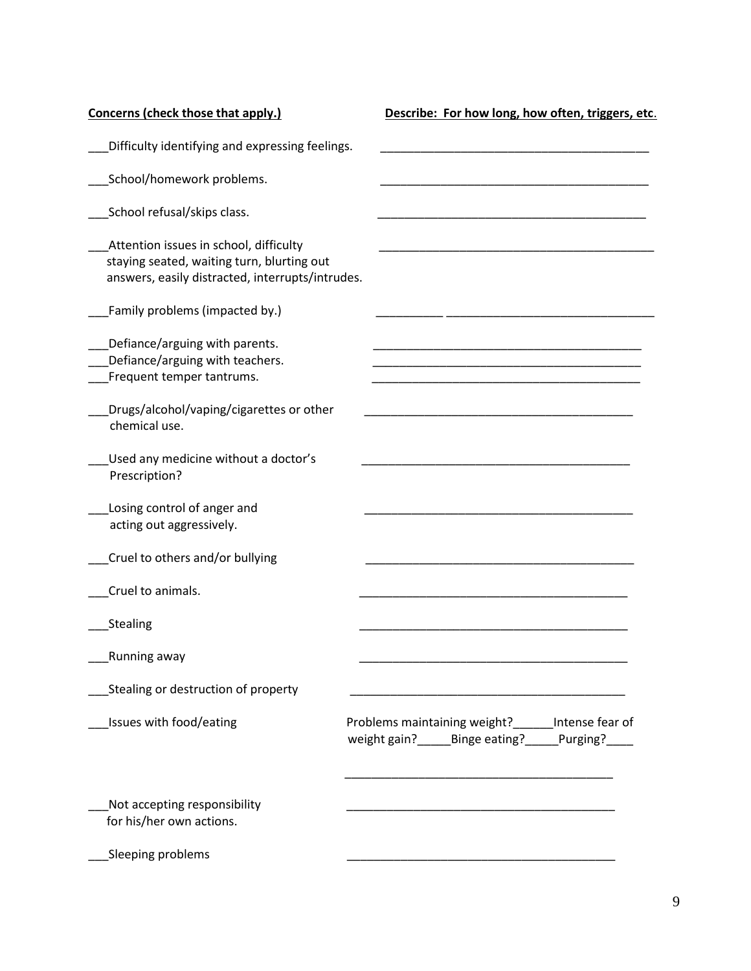| Concerns (check those that apply.)                                                                                                       | Describe: For how long, how often, triggers, etc.                                                                    |
|------------------------------------------------------------------------------------------------------------------------------------------|----------------------------------------------------------------------------------------------------------------------|
| Difficulty identifying and expressing feelings.                                                                                          |                                                                                                                      |
| School/homework problems.                                                                                                                |                                                                                                                      |
| School refusal/skips class.                                                                                                              |                                                                                                                      |
| Attention issues in school, difficulty<br>staying seated, waiting turn, blurting out<br>answers, easily distracted, interrupts/intrudes. |                                                                                                                      |
| Family problems (impacted by.)                                                                                                           |                                                                                                                      |
| Defiance/arguing with parents.<br>Defiance/arguing with teachers.<br>Frequent temper tantrums.                                           |                                                                                                                      |
| Drugs/alcohol/vaping/cigarettes or other<br>chemical use.                                                                                |                                                                                                                      |
| Used any medicine without a doctor's<br>Prescription?                                                                                    |                                                                                                                      |
| Losing control of anger and<br>acting out aggressively.                                                                                  |                                                                                                                      |
| Cruel to others and/or bullying                                                                                                          |                                                                                                                      |
| Cruel to animals.                                                                                                                        |                                                                                                                      |
| Stealing                                                                                                                                 |                                                                                                                      |
| Running away                                                                                                                             |                                                                                                                      |
| Stealing or destruction of property                                                                                                      |                                                                                                                      |
| Issues with food/eating                                                                                                                  | Problems maintaining weight?<br>______Intense fear of<br>weight gain? ______ Binge eating? ______ Purging? _____     |
| Not accepting responsibility<br>for his/her own actions.                                                                                 | <u> 1990 - Johann John Stein, markin film ar yn y brenin y brenin y brenin y brenin y brenin y brenin y brenin y</u> |
| Sleeping problems                                                                                                                        |                                                                                                                      |